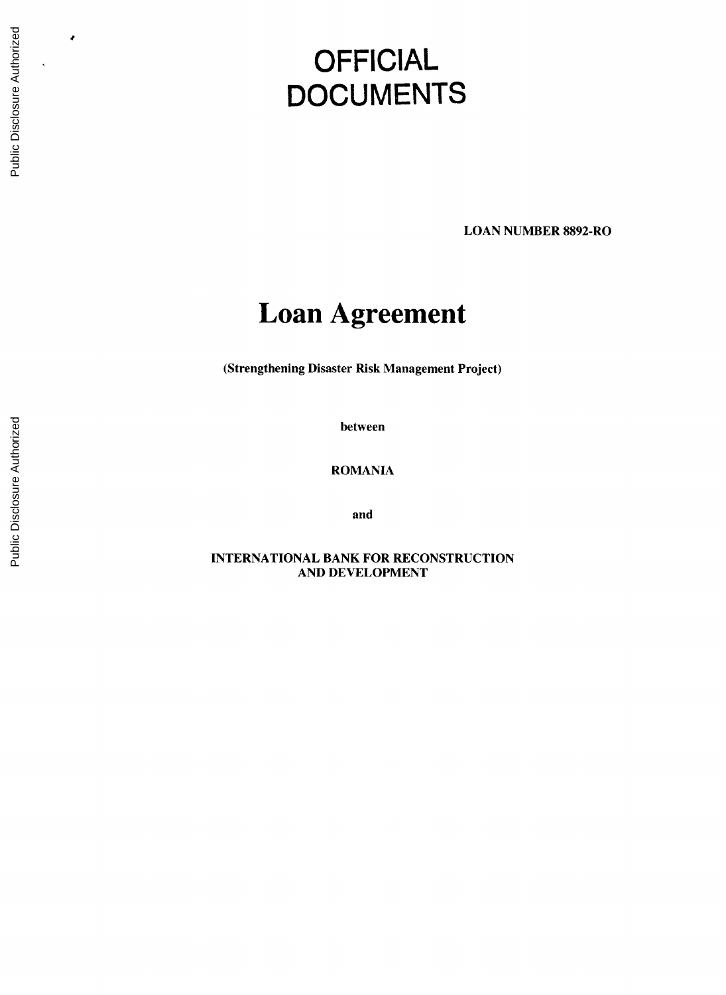# **OFFICIAL DOCUMENTS**

**LOAN NUMBER** 8892-RO

## **Loan Agreement**

(Strengthening Disaster Risk Management Project)

between

ROMANIA

and

**INTERNATIONAL** BANK FOR **RECONSTRUCTION AND DEVELOPMENT**

 $\bullet$ 

 $\ddot{\phantom{1}}$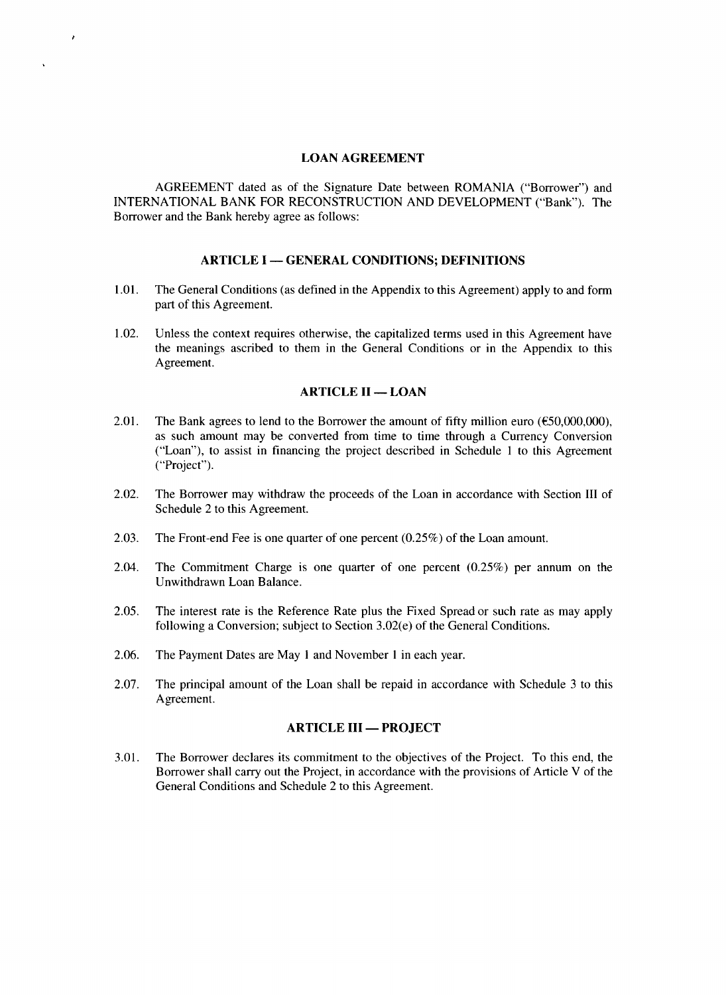#### **LOAN AGREEMENT**

 $\lambda$ 

 $\Delta$ 

**AGREEMENT** dated as of the Signature Date between ROMANIA ("Borrower") and **INTERNATIONAL** BANK FOR **RECONSTRUCTION AND DEVELOPMENT** ("Bank"). The Borrower and the Bank hereby agree as follows:

## **ARTICLE I - GENERAL CONDITIONS; DEFINITIONS**

- **1.01.** The General Conditions (as defined in the Appendix to this Agreement) apply to and form part of this Agreement.
- 1.02. Unless the context requires otherwise, the capitalized terms used in this Agreement have the meanings ascribed to them in the General Conditions or in the Appendix to this Agreement.

#### **ARTICLE II - LOAN**

- 2.01. The Bank agrees to lend to the Borrower the amount of **fifty** million euro **(C50,000,000),** as such amount may be converted from time to time through a Currency Conversion ("Loan"), to assist in financing the project described in Schedule 1 to this Agreement ("Project").
- 2.02. The Borrower may withdraw the proceeds of the Loan in accordance with Section **III** of Schedule 2 to this Agreement.
- **2.03.** The Front-end Fee is one quarter of one percent **(0.25%)** of the Loan amount.
- 2.04. The Commitment Charge is one quarter of one percent **(0.25%)** per annum on the Unwithdrawn Loan Balance.
- **2.05.** The interest rate is the Reference Rate plus the Fixed Spread or such rate as may apply following a Conversion; subject to Section 3.02(e) of the General Conditions.
- **2.06.** The Payment Dates are May **I** and November **I** in each year.
- **2.07.** The principal amount of the Loan shall be repaid in accordance with Schedule **3** to this Agreement.

## **ARTICLE III - PROJECT**

*3.01.* The Borrower declares its commitment to the objectives of the Project. To this end, the Borrower shall carry out the Project, in accordance with the provisions of Article V of the General Conditions and Schedule 2 to this Agreement.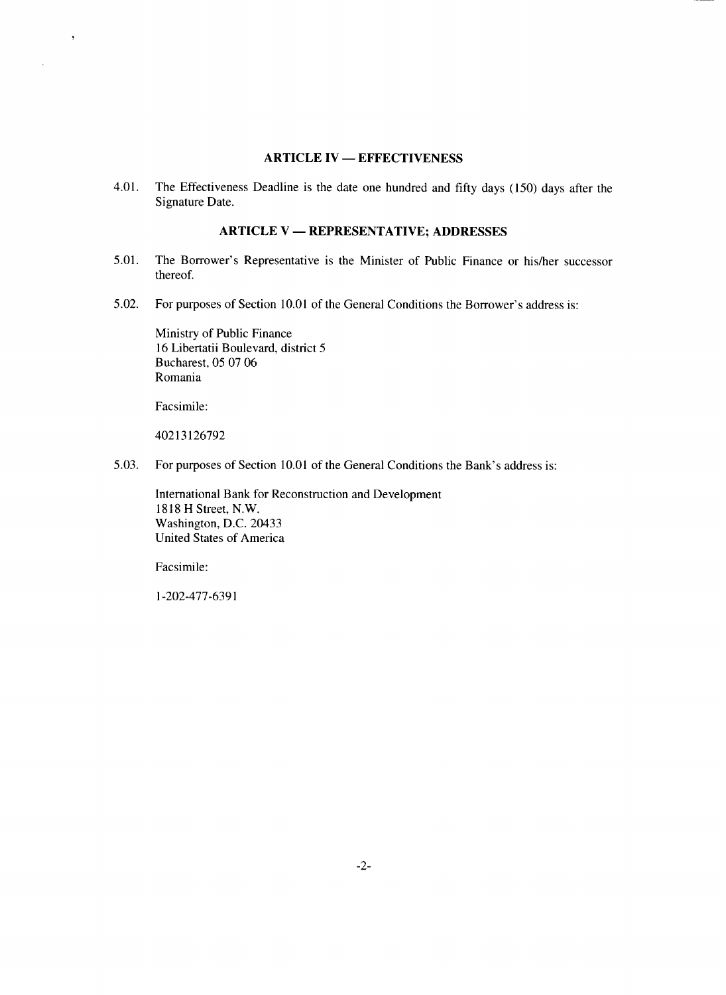## **ARTICLE IV - EFFECTIVENESS**

4.01. The Effectiveness Deadline is the date one hundred and **fifty** days *(150)* days after the Signature Date.

## **ARTICLE V - REPRESENTATIVE; ADDRESSES**

- **5.01.** The Borrower's Representative is the Minister of Public Finance or his/her successor thereof.
- **5.02.** For purposes of Section **10.01** of the General Conditions the Borrower's address is:

Ministry of Public Finance **16** Libertatii Boulevard, district **5** Bucharest, **05 07 06** Romania

Facsimile:

 $\ddot{\phantom{1}}$ 

 $\mathcal{L}$ 

**40213126792**

*5.03.* For purposes of Section **10.01** of the General Conditions the Bank's address is:

International Bank for Reconstruction and Development **1818** H Street, N.W. Washington, **D.C.** 20433 United States of America

Facsimile:

**1-202-477-6391**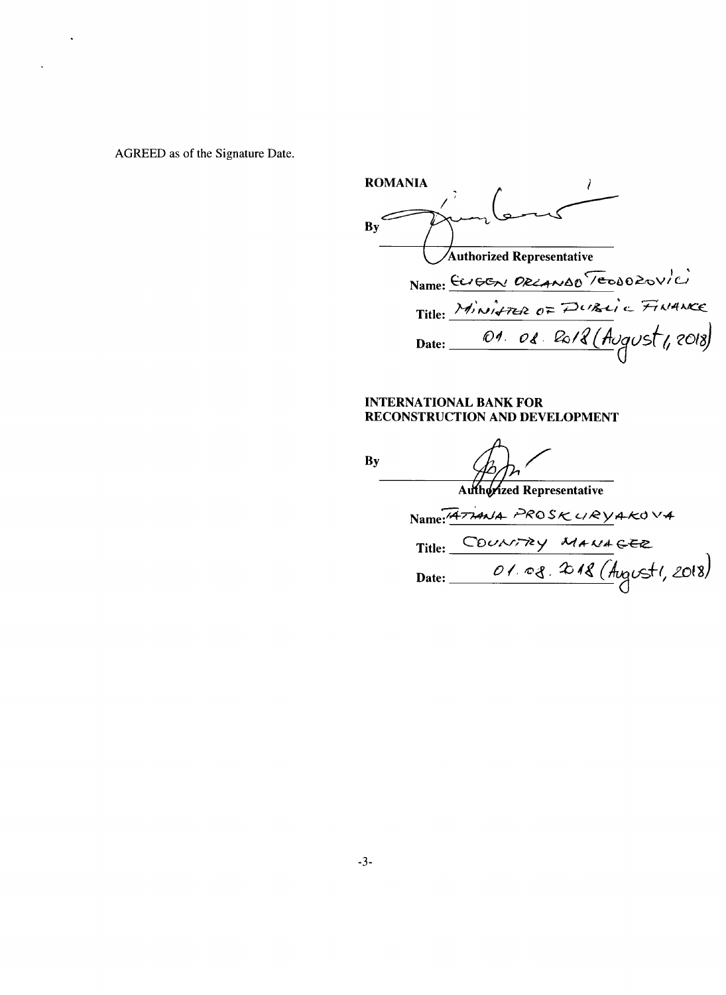AGREED as of the Signature Date.

ROMANIA **By** Authorized Representative Name: CUGGN DRLANDD TEODOROVICI Title:  $\frac{14.767 \times 10^{-4} \text{ J}}{10^{4} \text{ J}}$ Date: 04. 0

## **INTERNATIONAL** BANK FOR **RECONSTRUCTION AND DEVELOPMENT**

**By**

Authorized Representative  $Name 74714N4 PROSKURYAK0 V4$ Title: COUNTRY MANAGER Date: 01.08.218 (August1, 2018)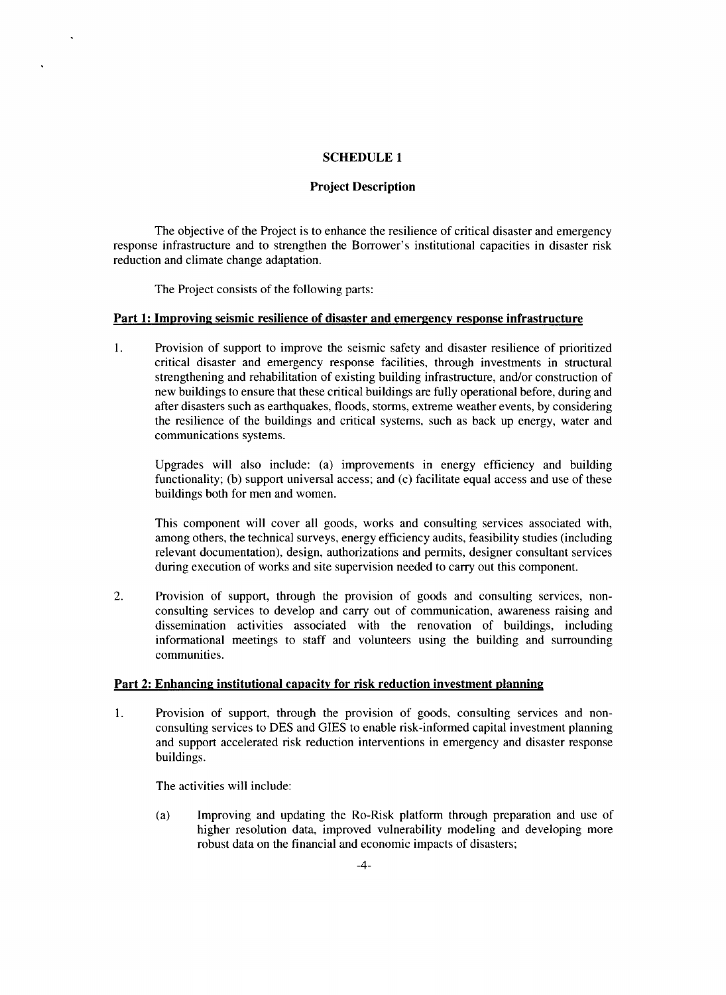## **SCHEDULE 1**

## **Project Description**

The objective of the Project is to enhance the resilience of critical disaster and emergency response infrastructure and to strengthen the Borrower's institutional capacities in disaster risk reduction and climate change adaptation.

The Project consists of the following parts:

 $\ddot{\phantom{a}}$ 

#### **Part 1: Improving seismic resilience of disaster and emergency response infrastructure**

<sup>1</sup>**.** Provision of support to improve the seismic safety and disaster resilience of prioritized critical disaster and emergency response facilities, through investments in structural strengthening and rehabilitation of existing building infrastructure, and/or construction of new buildings to ensure that these critical buildings are fully operational before, during and after disasters such as earthquakes, floods, storms, extreme weather events, **by** considering the resilience of the buildings and critical systems, such as back up energy, water and communications systems.

Upgrades will also include: (a) improvements in energy efficiency and building functionality; **(b)** support universal access; and (c) facilitate equal access and use of these buildings both for men and women.

This component will cover all goods, works and consulting services associated with, among others, the technical surveys, energy efficiency audits, feasibility studies (including relevant documentation), design, authorizations and permits, designer consultant services during execution of works and site supervision needed to carry out this component.

2. Provision of support, through the provision of goods and consulting services, nonconsulting services to develop and carry out of communication, awareness raising and dissemination activities associated with the renovation of buildings, including informational meetings to staff and volunteers using the building and surrounding communities.

## **Part** 2: Enhancing institutional capacity for risk reduction investment planning

<sup>1</sup>**.** Provision of support, through the provision of goods, consulting services and nonconsulting services to **DES** and **GIES** to enable risk-informed capital investment planning and support accelerated risk reduction interventions in emergency and disaster response buildings.

The activities will include:

(a) Improving and updating the Ro-Risk platform through preparation and use of higher resolution data, improved vulnerability modeling and developing more robust data on the financial and economic impacts of disasters;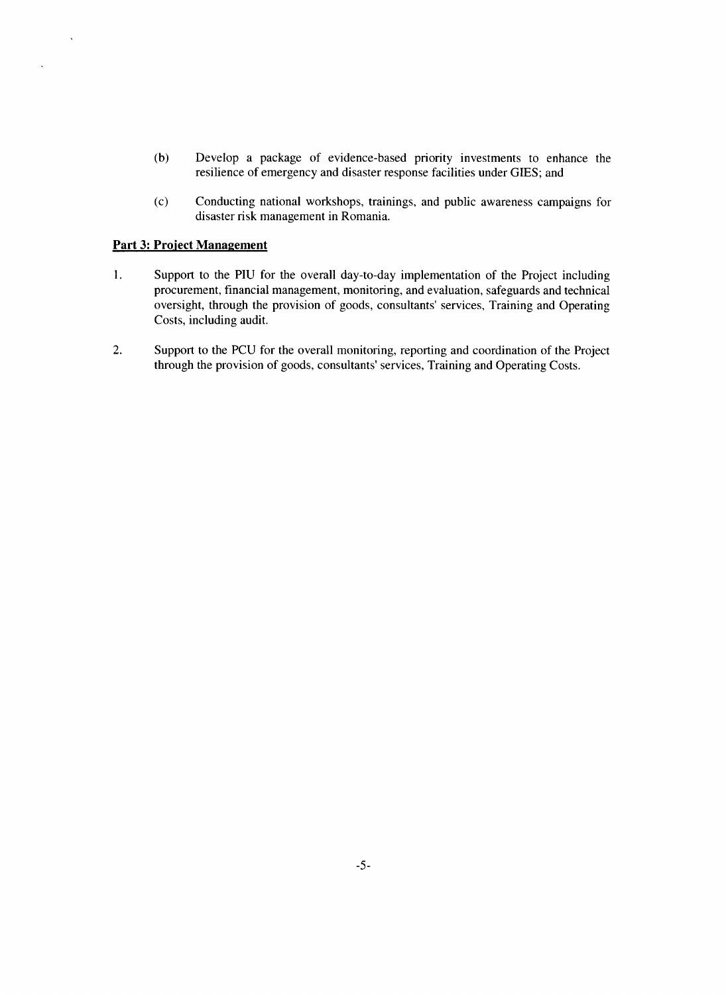- **(b)** Develop a package of evidence-based priority investments to enhance the resilience of emergency and disaster response facilities under **GIES;** and
- **(c)** Conducting national workshops, trainings, and public awareness campaigns for disaster risk management in Romania.

#### **Part 3: Project Management**

 $\ddot{\phantom{a}}$ 

 $\bar{\mathbf{v}}$ 

- <sup>1</sup>**.** Support to the **PIU** for the overall day-to-day implementation of the Project including procurement, financial management, monitoring, and evaluation, safeguards and technical oversight, through the provision of goods, consultants' services, Training and Operating Costs, including audit.
- 2. Support to the **PCU** for the overall monitoring, reporting and coordination of the Project through the provision of goods, consultants' services, Training and Operating Costs.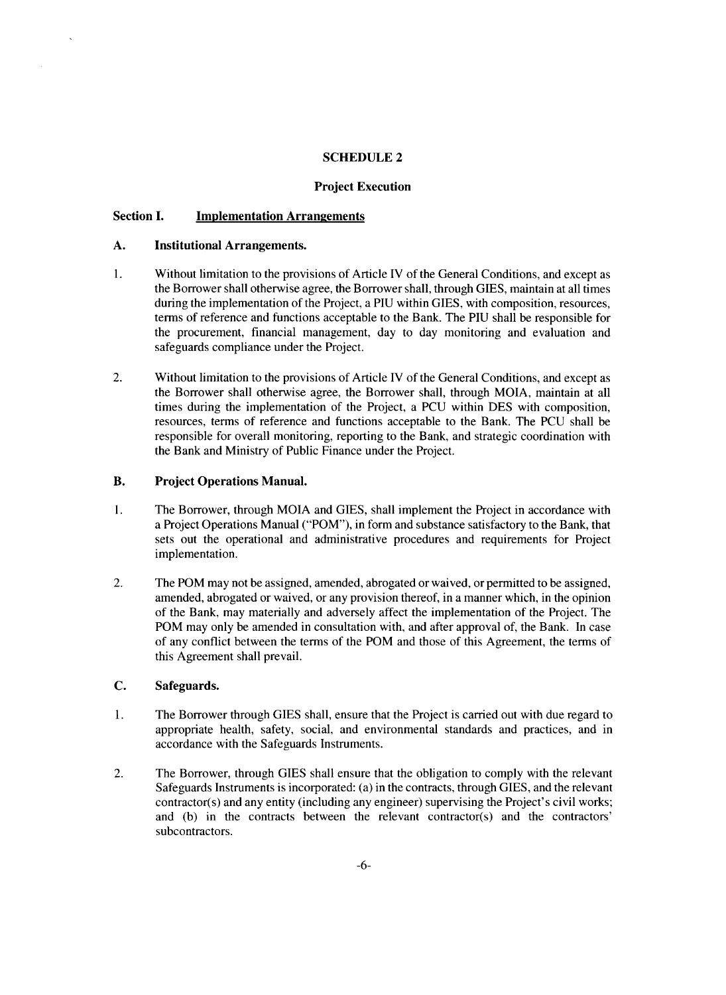## **SCHEDULE 2**

## **Project Execution**

## **Section I. Implementation Arrangements**

#### **A. Institutional Arrangements.**

- **1. Without limitation to the provisions of Article** IV of the General Conditions, and except as the Borrower shall otherwise agree, the Borrower shall, through **GIES,** maintain at all times during the implementation of the Project, a **PIU** within **GIES,** with composition, resources, terms of reference and functions acceptable to the Bank. The **PIU** shall be responsible for the procurement, financial management, day to day monitoring and evaluation and safeguards compliance under the Project.
- 2. Without limitation to the provisions of Article IV of the General Conditions, and except as the Borrower shall otherwise agree, the Borrower shall, through MOIA, maintain at all times during the implementation of the Project, a **PCU** within **DES** with composition, resources, terms of reference and functions acceptable to the Bank. The **PCU** shall be responsible for overall monitoring, reporting to the Bank, and strategic coordination with the Bank and Ministry of Public Finance under the Project.

#### B. **Project Operations Manual.**

- 1. The Borrower, through MOIA and **GIES,** shall implement the Project in accordance with a Project Operations Manual ("POM"), in form and substance satisfactory to the Bank, that sets out the operational and administrative procedures and requirements for Project implementation.
- 2. The POM may not be assigned, amended, abrogated or waived, or permitted to be assigned, amended, abrogated or waived, or any provision thereof, in a manner which, in the opinion of the Bank, may materially and adversely affect the implementation of the Project. The POM may only be amended in consultation with, and after approval of, the Bank. In case of any conflict between the terms of the POM and those of this Agreement, the terms of this Agreement shall prevail.

## **C.** Safeguards.

- 1. The Borrower through **GIES** shall, ensure that the Project is carried out with due regard to appropriate health, safety, social, and environmental standards and practices, and in accordance with the Safeguards Instruments.
- 2. The Borrower, through GIES shall ensure that the obligation to comply with the relevant Safeguards Instruments is incorporated: (a) in the contracts, through **GIES,** and the relevant contractor(s) and any entity (including any engineer) supervising the Project's civil works; and (b) in the contracts between the relevant contractor(s) and the contractors' subcontractors.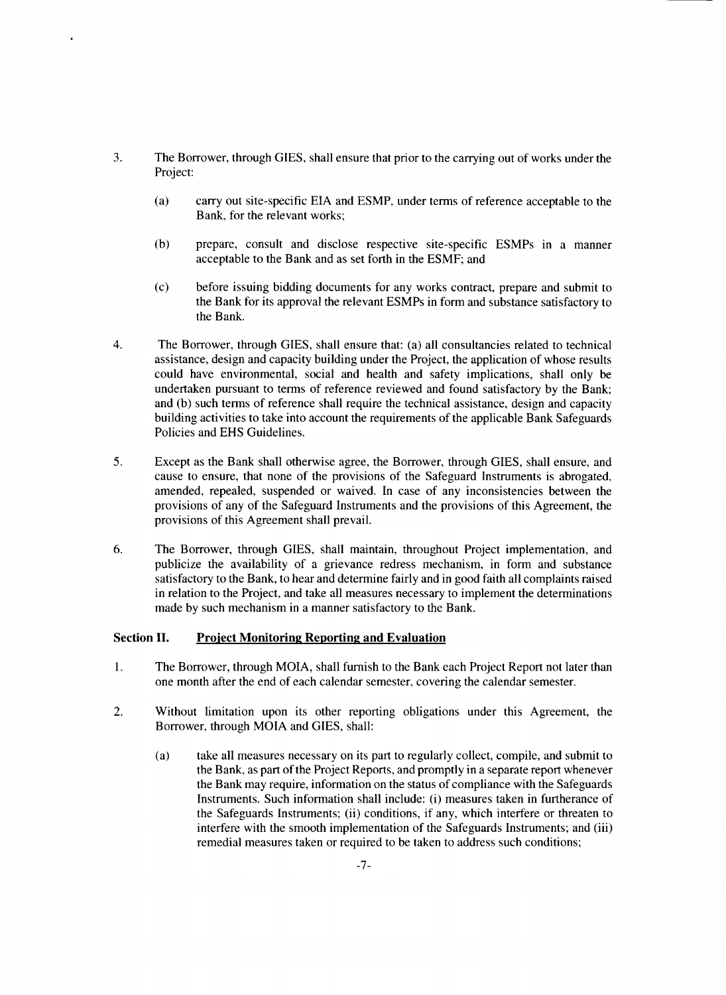- *3.* The Borrower, through **GIES,** shall ensure that prior to the carrying out of works under the Project:
	- (a) carry out site-specific **EIA** and **ESMP,** under terms of reference acceptable to the Bank, for the relevant works;
	- **(b)** prepare, consult and disclose respective site-specific ESMPs in a manner acceptable to the Bank and as set forth in the **ESMF;** and
	- **(c)** before issuing bidding documents for any works contract, prepare and submit to the Bank for its approval the relevant ESMPs in form and substance satisfactory to the Bank.
- 4. The Borrower, through **GIES,** shall ensure that: (a) all consultancies related to technical assistance, design and capacity building under the Project, the application of whose results could have environmental, social and health and safety implications, shall only be undertaken pursuant to terms of reference reviewed and found satisfactory **by** the Bank; and **(b)** such terms of reference shall require the technical assistance, design and capacity building activities to take into account the requirements of the applicable Bank Safeguards Policies and **EHS** Guidelines.
- **5.** Except as the Bank shall otherwise agree, the Borrower, through **GIES,** shall ensure, and cause to ensure, that none of the provisions of the Safeguard Instruments is abrogated, amended, repealed, suspended or waived. In case of any inconsistencies between the provisions of any of the Safeguard Instruments and the provisions of this Agreement, the provisions of this Agreement shall prevail.
- **6.** The Borrower, through **GIES,** shall maintain, throughout Project implementation, and publicize the availability of a grievance redress mechanism, in form and substance satisfactory to the Bank, to hear and determine fairly and in good faith all complaints raised in relation to the Project, and take all measures necessary to implement the determinations made **by** such mechanism in a manner satisfactory to the Bank.

#### Section **II. Project Monitoring Reporting and Evaluation**

- <sup>1</sup>**.** The Borrower, through MOIA, shall furnish to the Bank each Project Report not later than one month after the end of each calendar semester, covering the calendar semester.
- 2. Without limitation upon its other reporting obligations under this Agreement, the Borrower, through MOIA and **GIES,** shall:
	- (a) take all measures necessary on its part to regularly collect, compile, and submit to the Bank, as part of the Project Reports, and promptly in a separate report whenever the Bank may require, information on the status of compliance with the Safeguards Instruments. Such information shall include: (i) measures taken in furtherance of the Safeguards Instruments; (ii) conditions, if any, which interfere or threaten to interfere with the smooth implementation of the Safeguards Instruments; and (iii) remedial measures taken or required to be taken to address such conditions;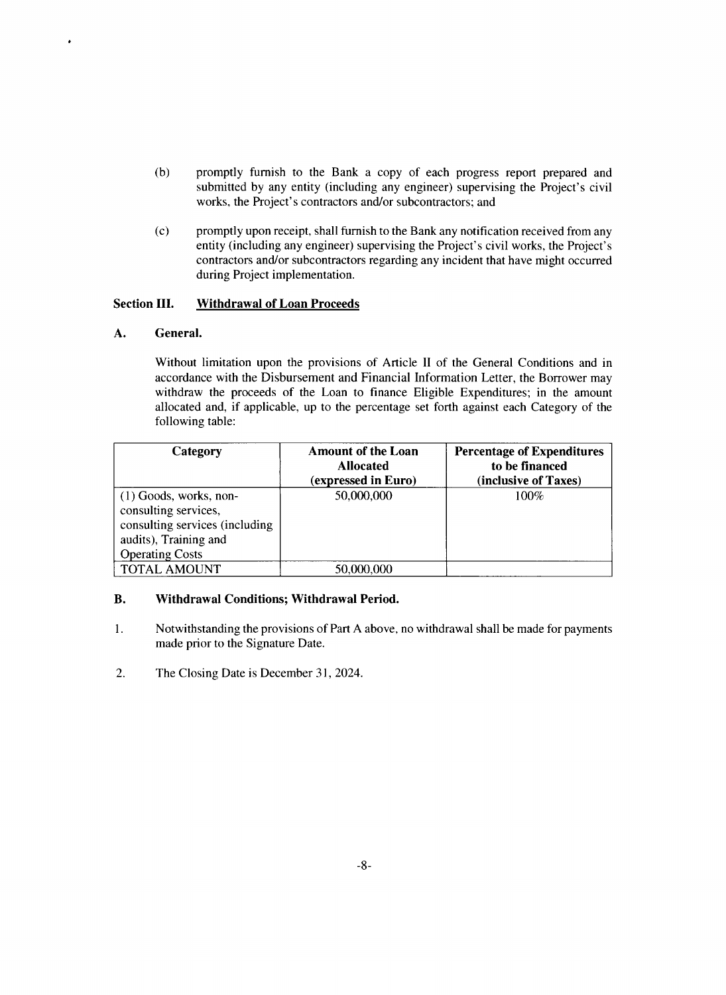- **(b)** promptly furnish to the Bank a copy of each progress report prepared and submitted **by** any entity (including any engineer) supervising the Project's civil works, the Project's contractors and/or subcontractors; and
- (c) promptly upon receipt, shall furnish to the Bank any notification received from any entity (including any engineer) supervising the Project's civil works, the Project's contractors and/or subcontractors regarding any incident that have might occurred during Project implementation.

## Section **III. Withdrawal of Loan Proceeds**

## **A. General.**

٠

Without limitation upon the provisions of Article II of the General Conditions and in accordance with the Disbursement and Financial Information Letter, the Borrower may withdraw the proceeds of the Loan to finance Eligible Expenditures; in the amount allocated and, if applicable, up to the percentage set forth against each Category of the following table:

| Category                                                                                                                              | <b>Amount of the Loan</b><br><b>Allocated</b><br>(expressed in Euro) | <b>Percentage of Expenditures</b><br>to be financed<br>(inclusive of Taxes) |
|---------------------------------------------------------------------------------------------------------------------------------------|----------------------------------------------------------------------|-----------------------------------------------------------------------------|
| $(1)$ Goods, works, non-<br>consulting services,<br>consulting services (including<br>audits), Training and<br><b>Operating Costs</b> | 50,000,000                                                           | 100%                                                                        |
| <b>TOTAL AMOUNT</b>                                                                                                                   | 50,000,000                                                           |                                                                             |

## B. Withdrawal Conditions; Withdrawal Period.

- 1. Notwithstanding the provisions of Part **A** above, no withdrawal shall be made for payments made prior to the Signature Date.
- 2. The Closing Date is December **31,** 2024.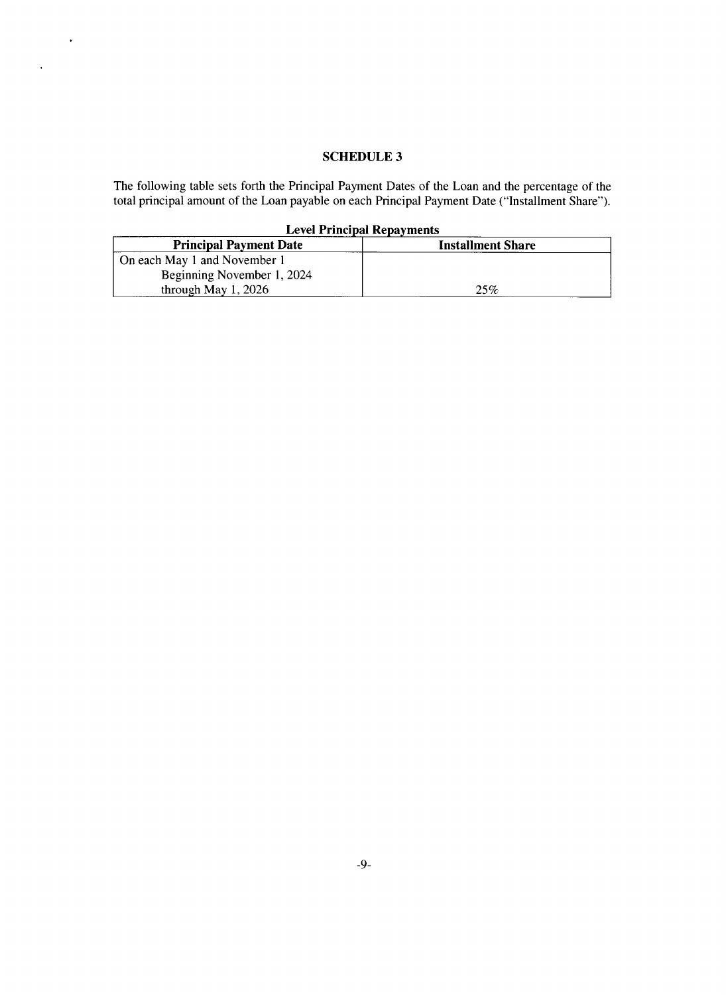## **SCHEDULE 3**

 $\sim$   $\sim$ 

 $\bar{\mathbf{r}}$ 

The following table sets forth the Principal Payment Dates of the Loan and the percentage of the total principal amount of the Loan payable on each Principal Payment Date ("Installment Share").

|  |  |  | <b>Level Principal Repayments</b> |
|--|--|--|-----------------------------------|
|--|--|--|-----------------------------------|

| <b>Principal Payment Date</b> | <b>Installment Share</b> |
|-------------------------------|--------------------------|
| On each May 1 and November 1  |                          |
| Beginning November 1, 2024    |                          |
| through May $1, 2026$         | 25%                      |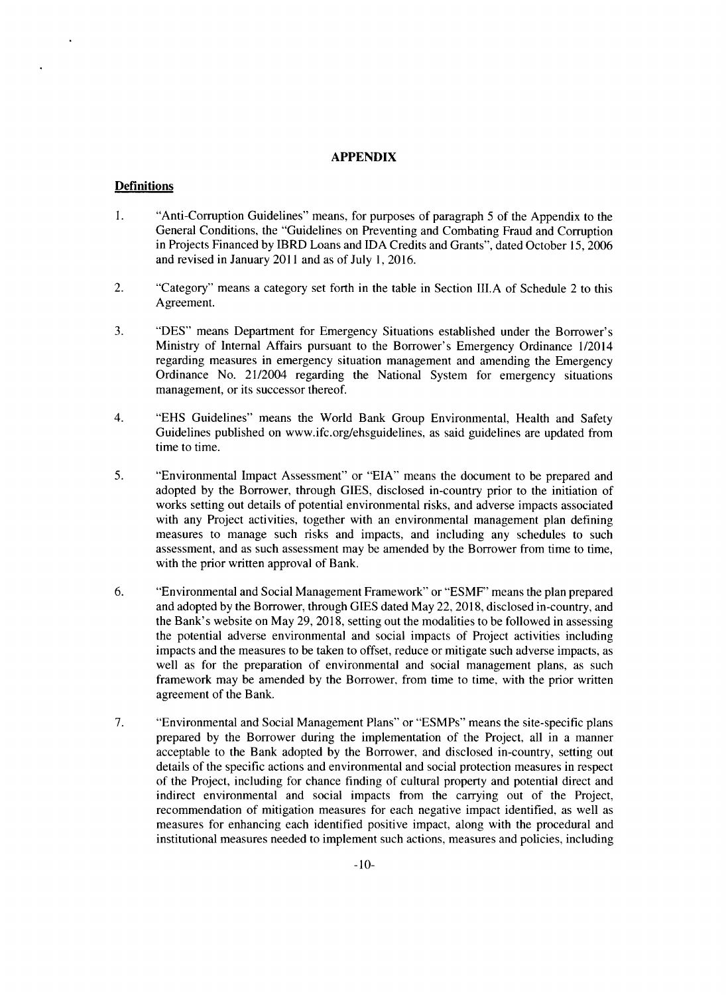#### **APPENDIX**

#### **Definitions**

- 1. "Anti-Corruption Guidelines" means, for purposes of paragraph **5** of the Appendix to the General Conditions, the "Guidelines on Preventing and Combating Fraud and Corruption in Projects Financed **by** IBRD Loans and **IDA** Credits and Grants", dated October **15, 2006** and revised in January 2011 and as of July **1, 2016.**
- 2. "Category" means a category set forth in the table in Section **III.A** of Schedule 2 to this Agreement.
- **3. "DES"** means Department for Emergency Situations established under the Borrower's Ministry of Internal Affairs pursuant to the Borrower's Emergency Ordinance 1/2014 regarding measures in emergency situation management and amending the Emergency Ordinance No. 21/2004 regarding the National System for emergency situations management, or its successor thereof.
- 4. **"EHS** Guidelines" means the World Bank Group Environmental, Health and Safety Guidelines published on www.ifc.org/ehsguidelines, as said guidelines are updated from time to time.
- **5.** "Environmental Impact Assessment" or **"EIA"** means the document to be prepared and adopted **by** the Borrower, through **GIES,** disclosed in-country prior to the initiation of works setting out details of potential environmental risks, and adverse impacts associated with any Project activities, together with an environmental management plan defining measures to manage such risks and impacts, and including any schedules to such assessment, and as such assessment may be amended **by** the Borrower from time to time, with the prior written approval of Bank.
- **6.** "Environmental and Social Management Framework" or "ESMF' means the plan prepared and adopted **by** the Borrower, through **GIES** dated May 22, **2018,** disclosed in-country, and the Bank's website on May **29, 2018,** setting out the modalities to be followed in assessing the potential adverse environmental and social impacts of Project activities including impacts and the measures to be taken to offset, reduce or mitigate such adverse impacts, as well as for the preparation of environmental and social management plans, as such framework may be amended **by** the Borrower, from time to time, with the prior written agreement of the Bank.
- **7.** "Environmental and Social Management Plans" or "ESMPs" means the site-specific plans prepared **by** the Borrower during the implementation of the Project, all in a manner acceptable to the Bank adopted **by** the Borrower, and disclosed in-country, setting out details of the specific actions and environmental and social protection measures in respect of the Project, including for chance finding of cultural property and potential direct and indirect environmental and social impacts from the carrying out of the Project, recommendation of mitigation measures for each negative impact identified, as well as measures for enhancing each identified positive impact, along with the procedural and institutional measures needed to implement such actions, measures and policies, including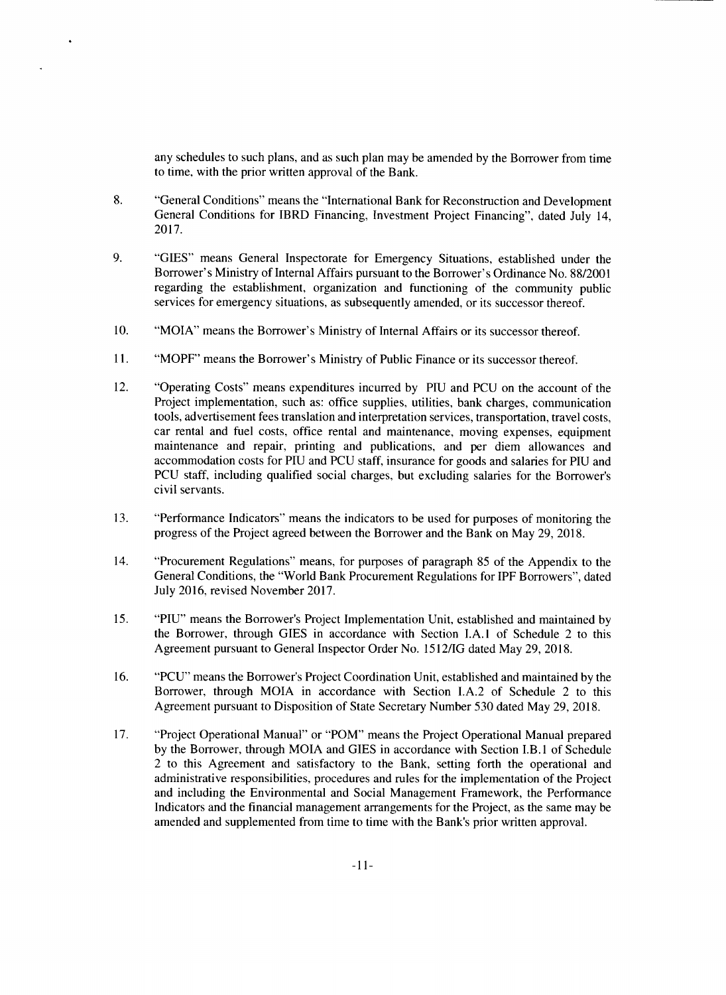any schedules to such plans, and as such plan may be amended **by** the Borrower from time to time, with the prior written approval of the Bank.

- **8.** "General Conditions" means the "International Bank for Reconstruction and Development General Conditions for IBRD Financing, Investment Project Financing", dated July 14, **2017.**
- **9. "GIES"** means General Inspectorate for Emergency Situations, established under the Borrower's Ministry of Internal Affairs pursuant to the Borrower's Ordinance No. **88/2001** regarding the establishment, organization and functioning of the community public services for emergency situations, as subsequently amended, or its successor thereof.
- **10.** "MOIA" means the Borrower's Ministry of Internal Affairs or its successor thereof.
- **11.** "MOPF" means the Borrower's Ministry of Public Finance or its successor thereof.
- 12. "Operating Costs" means expenditures incurred **by PIU** and **PCU** on the account of the Project implementation, such as: office supplies, utilities, bank charges, communication tools, advertisement fees translation and interpretation services, transportation, travel costs, car rental and fuel costs, office rental and maintenance, moving expenses, equipment maintenance and repair, printing and publications, and per diem allowances and accommodation costs for **PIU** and **PCU** staff, insurance for goods and salaries for **PIU** and **PCU** staff, including qualified social charges, but excluding salaries for the Borrower's civil servants.
- *13.* "Performance Indicators" means the indicators to be used for purposes of monitoring the progress of the Project agreed between the Borrower and the Bank on May **29, 2018.**
- 14. "Procurement Regulations" means, for purposes of paragraph **85** of the Appendix to the General Conditions, the "World Bank Procurement Regulations for IPF Borrowers", dated July **2016,** revised November **2017.**
- *15.* **"PIU"** means the Borrower's Project Implementation Unit, established and maintained **by** the Borrower, through **GIES** in accordance with Section **I.A.1** of Schedule 2 to this Agreement pursuant to General Inspector Order No. **1512/IG** dated May **29, 2018.**
- **16. "PCU"** means the Borrower's Project Coordination Unit, established and maintained **by** the Borrower, through MOIA in accordance with Section **I.A.2** of Schedule 2 to this Agreement pursuant to Disposition of State Secretary Number **530** dated May **29, 2018.**
- **17.** "Project Operational Manual" or "POM" means the Project Operational Manual prepared **by** the Borrower, through MOIA and **GIES** in accordance with Section I.B. 1 of Schedule 2 to this Agreement and satisfactory to the Bank, setting forth the operational and administrative responsibilities, procedures and rules for the implementation of the Project and including the Environmental and Social Management Framework, the Performance Indicators and the financial management arrangements for the Project, as the same may be amended and supplemented from time to time with the Bank's prior written approval.